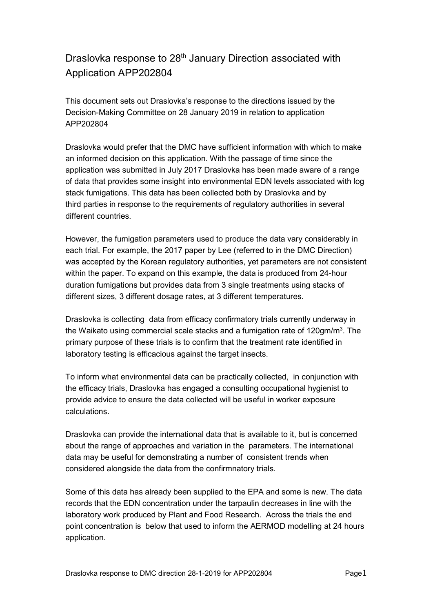## Draslovka response to 28<sup>th</sup> January Direction associated with Application APP202804

This document sets out Draslovka's response to the directions issued by the Decision-Making Committee on 28 January 2019 in relation to application APP202804

Draslovka would prefer that the DMC have sufficient information with which to make an informed decision on this application. With the passage of time since the application was submitted in July 2017 Draslovka has been made aware of a range of data that provides some insight into environmental EDN levels associated with log stack fumigations. This data has been collected both by Draslovka and by third parties in response to the requirements of regulatory authorities in several different countries.

However, the fumigation parameters used to produce the data vary considerably in each trial. For example, the 2017 paper by Lee (referred to in the DMC Direction) was accepted by the Korean regulatory authorities, yet parameters are not consistent within the paper. To expand on this example, the data is produced from 24-hour duration fumigations but provides data from 3 single treatments using stacks of different sizes, 3 different dosage rates, at 3 different temperatures.

Draslovka is collecting data from efficacy confirmatory trials currently underway in the Waikato using commercial scale stacks and a fumigation rate of 120gm/m<sup>3</sup>. The primary purpose of these trials is to confirm that the treatment rate identified in laboratory testing is efficacious against the target insects.

To inform what environmental data can be practically collected, in conjunction with the efficacy trials, Draslovka has engaged a consulting occupational hygienist to provide advice to ensure the data collected will be useful in worker exposure calculations.

Draslovka can provide the international data that is available to it, but is concerned about the range of approaches and variation in the parameters. The international data may be useful for demonstrating a number of consistent trends when considered alongside the data from the confirmnatory trials.

Some of this data has already been supplied to the EPA and some is new. The data records that the EDN concentration under the tarpaulin decreases in line with the laboratory work produced by Plant and Food Research. Across the trials the end point concentration is below that used to inform the AERMOD modelling at 24 hours application.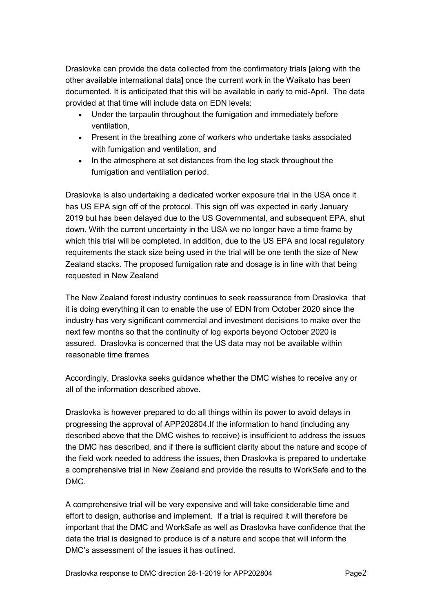Draslovka can provide the data collected from the confirmatory trials [along with the other available international data] once the current work in the Waikato has been documented. It is anticipated that this will be available in early to mid-April. The data provided at that time will include data on EDN levels:

- Under the tarpaulin throughout the fumigation and immediately before ventilation,
- Present in the breathing zone of workers who undertake tasks associated with fumigation and ventilation, and
- In the atmosphere at set distances from the log stack throughout the fumigation and ventilation period.

Draslovka is also undertaking a dedicated worker exposure trial in the USA once it has US EPA sign off of the protocol. This sign off was expected in early January 2019 but has been delayed due to the US Governmental, and subsequent EPA, shut down. With the current uncertainty in the USA we no longer have a time frame by which this trial will be completed. In addition, due to the US EPA and local regulatory requirements the stack size being used in the trial will be one tenth the size of New Zealand stacks. The proposed fumigation rate and dosage is in line with that being requested in New Zealand

The New Zealand forest industry continues to seek reassurance from Draslovka that it is doing everything it can to enable the use of EDN from October 2020 since the industry has very significant commercial and investment decisions to make over the next few months so that the continuity of log exports beyond October 2020 is assured. Draslovka is concerned that the US data may not be available within reasonable time frames

Accordingly, Draslovka seeks guidance whether the DMC wishes to receive any or all of the information described above.

Draslovka is however prepared to do all things within its power to avoid delays in progressing the approval of APP202804.If the information to hand (including any described above that the DMC wishes to receive) is insufficient to address the issues the DMC has described, and if there is sufficient clarity about the nature and scope of the field work needed to address the issues, then Draslovka is prepared to undertake a comprehensive trial in New Zealand and provide the results to WorkSafe and to the DMC.

A comprehensive trial will be very expensive and will take considerable time and effort to design, authorise and implement. If a trial is required it will therefore be important that the DMC and WorkSafe as well as Draslovka have confidence that the data the trial is designed to produce is of a nature and scope that will inform the DMC's assessment of the issues it has outlined.